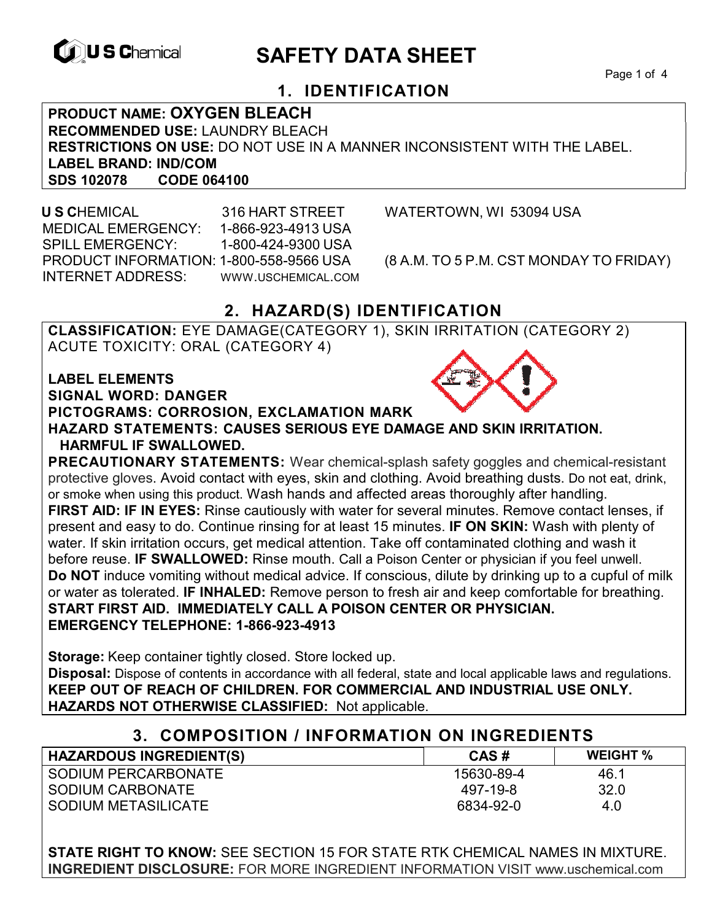

# **EXAGREM** SAFETY DATA SHEET

Page 1 of 4

## **1. IDENTIFICATION**

**PRODUCT NAME: OXYGEN BLEACH RECOMMENDED USE:** LAUNDRY BLEACH **RESTRICTIONS ON USE:** DO NOT USE IN A MANNER INCONSISTENT WITH THE LABEL. **LABEL BRAND: IND/COM SDS 102078** 

 **U S C**HEMICAL 316 HART STREET WATERTOWN, WI 53094 USA MEDICAL EMERGENCY: 1-866-923-4913 USA SPILL EMERGENCY: 1-800-424-9300 USA PRODUCT INFORMATION: 1-800-558-9566 USA (8 A.M. TO 5 P.M. CST MONDAY TO FRIDAY) INTERNET ADDRESS: WWW.USCHEMICAL.COM

## **2. HAZARD(S) IDENTIFICATION**

**CLASSIFICATION:** EYE DAMAGE(CATEGORY 1), SKIN IRRITATION (CATEGORY 2) ACUTE TOXICITY: ORAL (CATEGORY 4)

**LABEL ELEMENTS SIGNAL WORD: DANGER PICTOGRAMS: CORROSION, EXCLAMATION MARK HAZARD STATEMENTS: CAUSES SERIOUS EYE DAMAGE AND SKIN IRRITATION. HARMFUL IF SWALLOWED.** 

**PRECAUTIONARY STATEMENTS:** Wear chemical-splash safety goggles and chemical-resistant protective gloves. Avoid contact with eyes, skin and clothing. Avoid breathing dusts. Do not eat, drink, or smoke when using this product. Wash hands and affected areas thoroughly after handling. **FIRST AID: IF IN EYES:** Rinse cautiously with water for several minutes. Remove contact lenses, if present and easy to do. Continue rinsing for at least 15 minutes. **IF ON SKIN:** Wash with plenty of water. If skin irritation occurs, get medical attention. Take off contaminated clothing and wash it before reuse. **IF SWALLOWED:** Rinse mouth. Call a Poison Center or physician if you feel unwell. **Do NOT** induce vomiting without medical advice. If conscious, dilute by drinking up to a cupful of milk or water as tolerated. **IF INHALED:** Remove person to fresh air and keep comfortable for breathing. **START FIRST AID. IMMEDIATELY CALL A POISON CENTER OR PHYSICIAN. EMERGENCY TELEPHONE: 1-866-923-4913**

**Storage:** Keep container tightly closed. Store locked up. **Disposal:** Dispose of contents in accordance with all federal, state and local applicable laws and regulations. **KEEP OUT OF REACH OF CHILDREN. FOR COMMERCIAL AND INDUSTRIAL USE ONLY. HAZARDS NOT OTHERWISE CLASSIFIED:** Not applicable.

## **3. COMPOSITION / INFORMATION ON INGREDIENTS**

| <b>HAZARDOUS INGREDIENT(S)</b> | CAS#       | <b>WEIGHT %</b> |
|--------------------------------|------------|-----------------|
| SODIUM PERCARBONATE            | 15630-89-4 | 46.1            |
| SODIUM CARBONATE               | 497-19-8   | 32.0            |
| SODIUM METASILICATE            | 6834-92-0  | 4.0             |

**STATE RIGHT TO KNOW:** SEE SECTION 15 FOR STATE RTK CHEMICAL NAMES IN MIXTURE. **INGREDIENT DISCLOSURE:** FOR MORE INGREDIENT INFORMATION VISIT www.uschemical.com

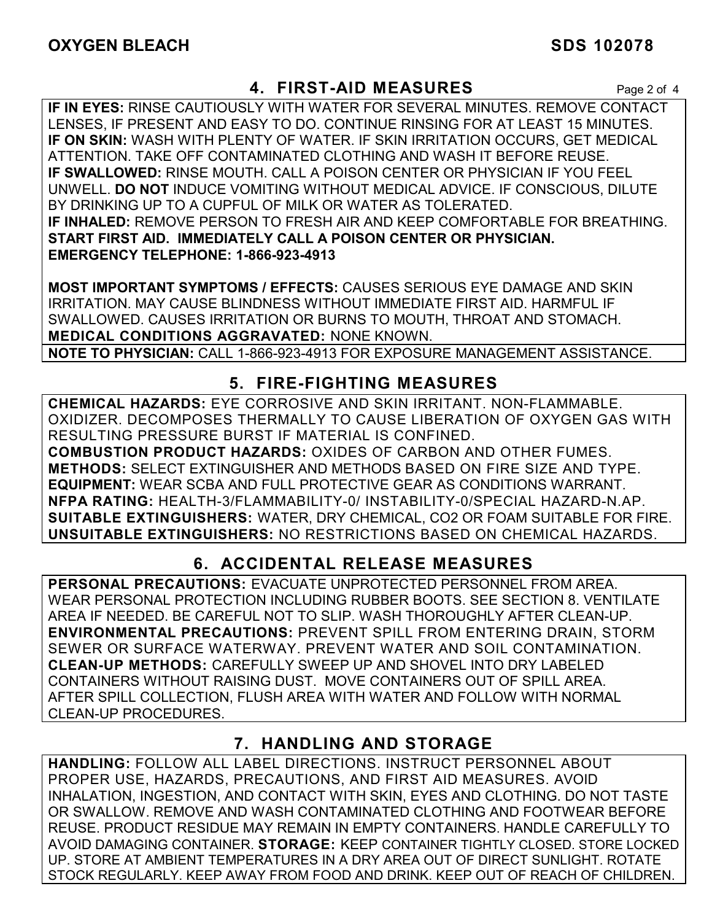## **4. FIRST-AID MEASURES** Page 2 of 4

**IF IN EYES:** RINSE CAUTIOUSLY WITH WATER FOR SEVERAL MINUTES. REMOVE CONTACT LENSES, IF PRESENT AND EASY TO DO. CONTINUE RINSING FOR AT LEAST 15 MINUTES. **IF ON SKIN:** WASH WITH PLENTY OF WATER. IF SKIN IRRITATION OCCURS, GET MEDICAL ATTENTION. TAKE OFF CONTAMINATED CLOTHING AND WASH IT BEFORE REUSE. **IF SWALLOWED:** RINSE MOUTH. CALL A POISON CENTER OR PHYSICIAN IF YOU FEEL UNWELL. **DO NOT** INDUCE VOMITING WITHOUT MEDICAL ADVICE. IF CONSCIOUS, DILUTE BY DRINKING UP TO A CUPFUL OF MILK OR WATER AS TOLERATED. **IF INHALED:** REMOVE PERSON TO FRESH AIR AND KEEP COMFORTABLE FOR BREATHING. **START FIRST AID. IMMEDIATELY CALL A POISON CENTER OR PHYSICIAN. EMERGENCY TELEPHONE: 1-866-923-4913**

**MOST IMPORTANT SYMPTOMS / EFFECTS:** CAUSES SERIOUS EYE DAMAGE AND SKIN IRRITATION. MAY CAUSE BLINDNESS WITHOUT IMMEDIATE FIRST AID. HARMFUL IF SWALLOWED. CAUSES IRRITATION OR BURNS TO MOUTH, THROAT AND STOMACH. **MEDICAL CONDITIONS AGGRAVATED:** NONE KNOWN.

**NOTE TO PHYSICIAN:** CALL 1-866-923-4913 FOR EXPOSURE MANAGEMENT ASSISTANCE.

## **5. FIRE-FIGHTING MEASURES**

**CHEMICAL HAZARDS:** EYE CORROSIVE AND SKIN IRRITANT. NON-FLAMMABLE. OXIDIZER. DECOMPOSES THERMALLY TO CAUSE LIBERATION OF OXYGEN GAS WITH RESULTING PRESSURE BURST IF MATERIAL IS CONFINED.

**COMBUSTION PRODUCT HAZARDS:** OXIDES OF CARBON AND OTHER FUMES. **METHODS:** SELECT EXTINGUISHER AND METHODS BASED ON FIRE SIZE AND TYPE. **EQUIPMENT:** WEAR SCBA AND FULL PROTECTIVE GEAR AS CONDITIONS WARRANT. **NFPA RATING:** HEALTH-3/FLAMMABILITY-0/ INSTABILITY-0/SPECIAL HAZARD-N.AP. **SUITABLE EXTINGUISHERS:** WATER, DRY CHEMICAL, CO2 OR FOAM SUITABLE FOR FIRE. **UNSUITABLE EXTINGUISHERS:** NO RESTRICTIONS BASED ON CHEMICAL HAZARDS.

## **6. ACCIDENTAL RELEASE MEASURES**

**PERSONAL PRECAUTIONS:** EVACUATE UNPROTECTED PERSONNEL FROM AREA. WEAR PERSONAL PROTECTION INCLUDING RUBBER BOOTS. SEE SECTION 8. VENTILATE AREA IF NEEDED. BE CAREFUL NOT TO SLIP. WASH THOROUGHLY AFTER CLEAN-UP. **ENVIRONMENTAL PRECAUTIONS:** PREVENT SPILL FROM ENTERING DRAIN, STORM SEWER OR SURFACE WATERWAY. PREVENT WATER AND SOIL CONTAMINATION. **CLEAN-UP METHODS:** CAREFULLY SWEEP UP AND SHOVEL INTO DRY LABELED CONTAINERS WITHOUT RAISING DUST. MOVE CONTAINERS OUT OF SPILL AREA. AFTER SPILL COLLECTION, FLUSH AREA WITH WATER AND FOLLOW WITH NORMAL CLEAN-UP PROCEDURES.

## **7. HANDLING AND STORAGE**

**HANDLING:** FOLLOW ALL LABEL DIRECTIONS. INSTRUCT PERSONNEL ABOUT PROPER USE, HAZARDS, PRECAUTIONS, AND FIRST AID MEASURES. AVOID INHALATION, INGESTION, AND CONTACT WITH SKIN, EYES AND CLOTHING. DO NOT TASTE OR SWALLOW. REMOVE AND WASH CONTAMINATED CLOTHING AND FOOTWEAR BEFORE REUSE. PRODUCT RESIDUE MAY REMAIN IN EMPTY CONTAINERS. HANDLE CAREFULLY TO AVOID DAMAGING CONTAINER. **STORAGE:** KEEP CONTAINER TIGHTLY CLOSED. STORE LOCKED UP. STORE AT AMBIENT TEMPERATURES IN A DRY AREA OUT OF DIRECT SUNLIGHT. ROTATE STOCK REGULARLY. KEEP AWAY FROM FOOD AND DRINK. KEEP OUT OF REACH OF CHILDREN.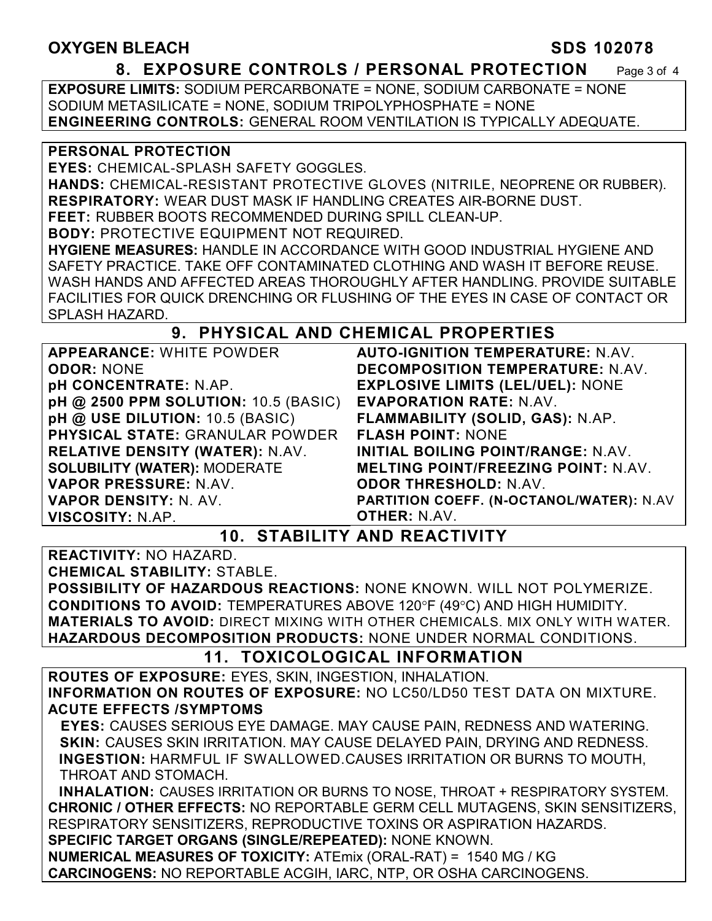## **OXYGEN BLEACH SDS 102078**

### **8. EXPOSURE CONTROLS / PERSONAL PROTECTION** Page 3 of 4

**EXPOSURE LIMITS:** SODIUM PERCARBONATE = NONE, SODIUM CARBONATE = NONE SODIUM METASILICATE = NONE, SODIUM TRIPOLYPHOSPHATE = NONE **ENGINEERING CONTROLS:** GENERAL ROOM VENTILATION IS TYPICALLY ADEQUATE.

### **PERSONAL PROTECTION**

**EYES:** CHEMICAL-SPLASH SAFETY GOGGLES.

**HANDS:** CHEMICAL-RESISTANT PROTECTIVE GLOVES (NITRILE, NEOPRENE OR RUBBER). **RESPIRATORY:** WEAR DUST MASK IF HANDLING CREATES AIR-BORNE DUST.

**FEET:** RUBBER BOOTS RECOMMENDED DURING SPILL CLEAN-UP.

**BODY:** PROTECTIVE EQUIPMENT NOT REQUIRED.

**HYGIENE MEASURES:** HANDLE IN ACCORDANCE WITH GOOD INDUSTRIAL HYGIENE AND SAFETY PRACTICE. TAKE OFF CONTAMINATED CLOTHING AND WASH IT BEFORE REUSE. WASH HANDS AND AFFECTED AREAS THOROUGHLY AFTER HANDLING. PROVIDE SUITABLE FACILITIES FOR QUICK DRENCHING OR FLUSHING OF THE EYES IN CASE OF CONTACT OR SPLASH HAZARD.

## **9. PHYSICAL AND CHEMICAL PROPERTIES**

**APPEARANCE:** WHITE POWDER **ODOR:** NONE **pH CONCENTRATE:** N.AP. **pH @ 2500 PPM SOLUTION:** 10.5 (BASIC) **pH @ USE DILUTION:** 10.5 (BASIC) **PHYSICAL STATE:** GRANULAR POWDER **RELATIVE DENSITY (WATER):** N.AV. **SOLUBILITY (WATER):** MODERATE **VAPOR PRESSURE:** N.AV. **VAPOR DENSITY:** N. AV. **VISCOSITY:** N.AP.

**AUTO-IGNITION TEMPERATURE:** N.AV. **DECOMPOSITION TEMPERATURE:** N.AV. **EXPLOSIVE LIMITS (LEL/UEL):** NONE **EVAPORATION RATE:** N.AV. **FLAMMABILITY (SOLID, GAS):** N.AP. **FLASH POINT:** NONE **INITIAL BOILING POINT/RANGE:** N.AV. **MELTING POINT/FREEZING POINT:** N.AV. **ODOR THRESHOLD:** N.AV. **PARTITION COEFF. (N-OCTANOL/WATER):** N.AV **OTHER:** N.AV.

**10. STABILITY AND REACTIVITY** 

**REACTIVITY:** NO HAZARD.

**CHEMICAL STABILITY:** STABLE.

**POSSIBILITY OF HAZARDOUS REACTIONS:** NONE KNOWN. WILL NOT POLYMERIZE. **CONDITIONS TO AVOID: TEMPERATURES ABOVE 120°F (49°C) AND HIGH HUMIDITY. MATERIALS TO AVOID:** DIRECT MIXING WITH OTHER CHEMICALS. MIX ONLY WITH WATER. **HAZARDOUS DECOMPOSITION PRODUCTS:** NONE UNDER NORMAL CONDITIONS.

## **11. TOXICOLOGICAL INFORMATION**

**ROUTES OF EXPOSURE:** EYES, SKIN, INGESTION, INHALATION. **INFORMATION ON ROUTES OF EXPOSURE:** NO LC50/LD50 TEST DATA ON MIXTURE. **ACUTE EFFECTS /SYMPTOMS**

 **EYES:** CAUSES SERIOUS EYE DAMAGE. MAY CAUSE PAIN, REDNESS AND WATERING. **SKIN:** CAUSES SKIN IRRITATION. MAY CAUSE DELAYED PAIN, DRYING AND REDNESS. **INGESTION:** HARMFUL IF SWALLOWED.CAUSES IRRITATION OR BURNS TO MOUTH, THROAT AND STOMACH.

 **INHALATION:** CAUSES IRRITATION OR BURNS TO NOSE, THROAT + RESPIRATORY SYSTEM. **CHRONIC / OTHER EFFECTS:** NO REPORTABLE GERM CELL MUTAGENS, SKIN SENSITIZERS, RESPIRATORY SENSITIZERS, REPRODUCTIVE TOXINS OR ASPIRATION HAZARDS. **SPECIFIC TARGET ORGANS (SINGLE/REPEATED):** NONE KNOWN. **NUMERICAL MEASURES OF TOXICITY:** ATEmix (ORAL-RAT) = 1540 MG / KG

**CARCINOGENS:** NO REPORTABLE ACGIH, IARC, NTP, OR OSHA CARCINOGENS.